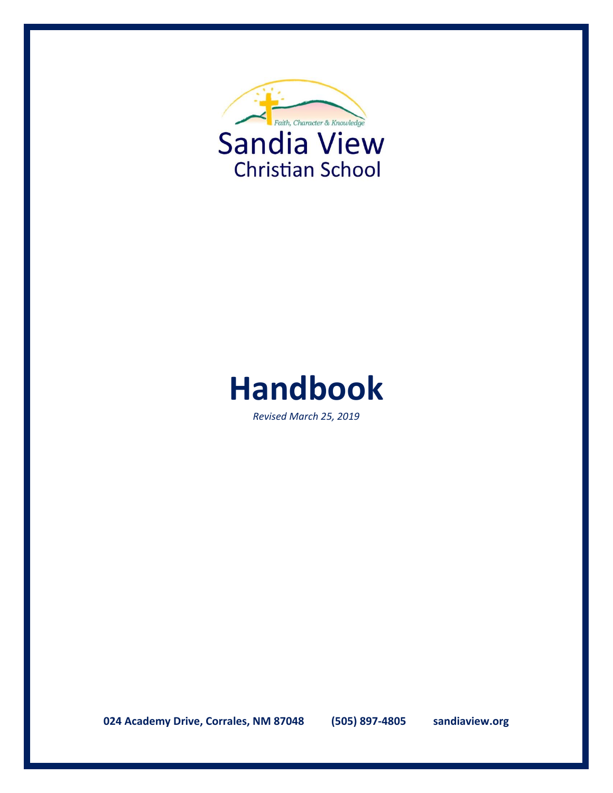



*Revised March 25, 2019*

**024 Academy Drive, Corrales, NM 87048 (505) 897-4805 sandiaview.org**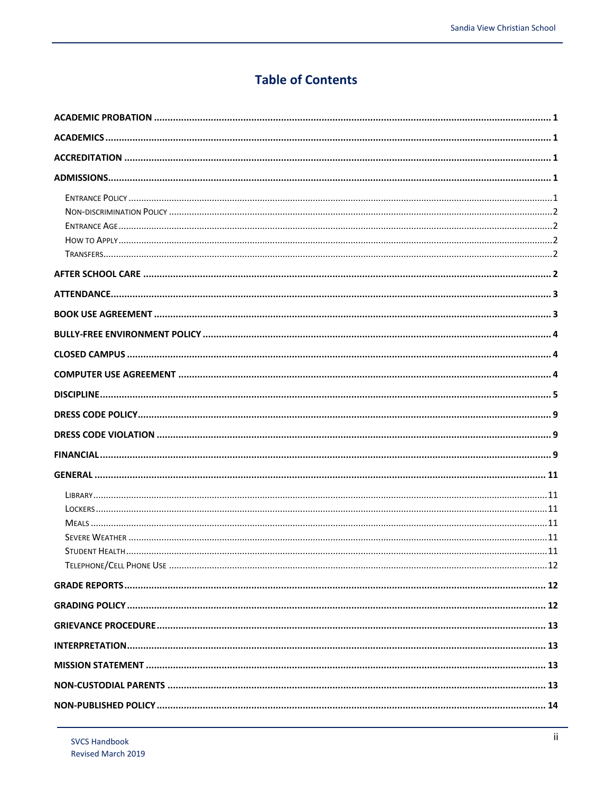# **Table of Contents**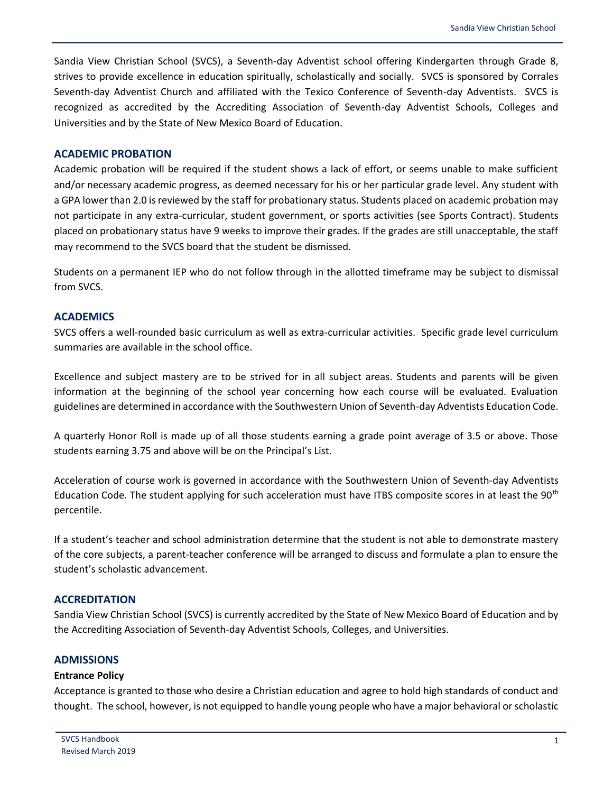Sandia View Christian School (SVCS), a Seventh-day Adventist school offering Kindergarten through Grade 8, strives to provide excellence in education spiritually, scholastically and socially. SVCS is sponsored by Corrales Seventh-day Adventist Church and affiliated with the Texico Conference of Seventh-day Adventists. SVCS is recognized as accredited by the Accrediting Association of Seventh-day Adventist Schools, Colleges and Universities and by the State of New Mexico Board of Education.

#### <span id="page-3-0"></span>**ACADEMIC PROBATION**

Academic probation will be required if the student shows a lack of effort, or seems unable to make sufficient and/or necessary academic progress, as deemed necessary for his or her particular grade level. Any student with a GPA lower than 2.0 is reviewed by the staff for probationary status. Students placed on academic probation may not participate in any extra-curricular, student government, or sports activities (see Sports Contract). Students placed on probationary status have 9 weeks to improve their grades. If the grades are still unacceptable, the staff may recommend to the SVCS board that the student be dismissed.

Students on a permanent IEP who do not follow through in the allotted timeframe may be subject to dismissal from SVCS.

## <span id="page-3-1"></span>**ACADEMICS**

SVCS offers a well-rounded basic curriculum as well as extra-curricular activities. Specific grade level curriculum summaries are available in the school office.

Excellence and subject mastery are to be strived for in all subject areas. Students and parents will be given information at the beginning of the school year concerning how each course will be evaluated. Evaluation guidelines are determined in accordance with the Southwestern Union of Seventh-day Adventists Education Code.

A quarterly Honor Roll is made up of all those students earning a grade point average of 3.5 or above. Those students earning 3.75 and above will be on the Principal's List.

Acceleration of course work is governed in accordance with the Southwestern Union of Seventh-day Adventists Education Code. The student applying for such acceleration must have ITBS composite scores in at least the 90<sup>th</sup> percentile.

If a student's teacher and school administration determine that the student is not able to demonstrate mastery of the core subjects, a parent-teacher conference will be arranged to discuss and formulate a plan to ensure the student's scholastic advancement.

## <span id="page-3-2"></span>**ACCREDITATION**

Sandia View Christian School (SVCS) is currently accredited by the State of New Mexico Board of Education and by the Accrediting Association of Seventh-day Adventist Schools, Colleges, and Universities.

## <span id="page-3-3"></span>**ADMISSIONS**

#### <span id="page-3-4"></span>**Entrance Policy**

Acceptance is granted to those who desire a Christian education and agree to hold high standards of conduct and thought. The school, however, is not equipped to handle young people who have a major behavioral or scholastic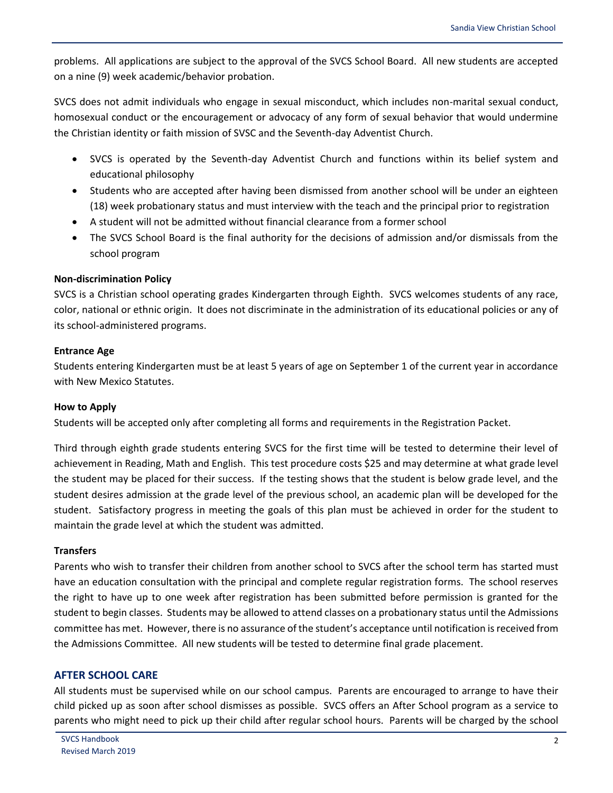problems. All applications are subject to the approval of the SVCS School Board. All new students are accepted on a nine (9) week academic/behavior probation.

SVCS does not admit individuals who engage in sexual misconduct, which includes non-marital sexual conduct, homosexual conduct or the encouragement or advocacy of any form of sexual behavior that would undermine the Christian identity or faith mission of SVSC and the Seventh-day Adventist Church.

- SVCS is operated by the Seventh-day Adventist Church and functions within its belief system and educational philosophy
- Students who are accepted after having been dismissed from another school will be under an eighteen (18) week probationary status and must interview with the teach and the principal prior to registration
- A student will not be admitted without financial clearance from a former school
- The SVCS School Board is the final authority for the decisions of admission and/or dismissals from the school program

## <span id="page-4-0"></span>**Non-discrimination Policy**

SVCS is a Christian school operating grades Kindergarten through Eighth. SVCS welcomes students of any race, color, national or ethnic origin. It does not discriminate in the administration of its educational policies or any of its school-administered programs.

#### <span id="page-4-1"></span>**Entrance Age**

Students entering Kindergarten must be at least 5 years of age on September 1 of the current year in accordance with New Mexico Statutes.

## <span id="page-4-2"></span>**How to Apply**

Students will be accepted only after completing all forms and requirements in the Registration Packet.

Third through eighth grade students entering SVCS for the first time will be tested to determine their level of achievement in Reading, Math and English. This test procedure costs \$25 and may determine at what grade level the student may be placed for their success. If the testing shows that the student is below grade level, and the student desires admission at the grade level of the previous school, an academic plan will be developed for the student. Satisfactory progress in meeting the goals of this plan must be achieved in order for the student to maintain the grade level at which the student was admitted.

#### <span id="page-4-3"></span>**Transfers**

Parents who wish to transfer their children from another school to SVCS after the school term has started must have an education consultation with the principal and complete regular registration forms. The school reserves the right to have up to one week after registration has been submitted before permission is granted for the student to begin classes. Students may be allowed to attend classes on a probationary status until the Admissions committee has met. However, there is no assurance of the student's acceptance until notification is received from the Admissions Committee. All new students will be tested to determine final grade placement.

## <span id="page-4-4"></span>**AFTER SCHOOL CARE**

All students must be supervised while on our school campus. Parents are encouraged to arrange to have their child picked up as soon after school dismisses as possible. SVCS offers an After School program as a service to parents who might need to pick up their child after regular school hours. Parents will be charged by the school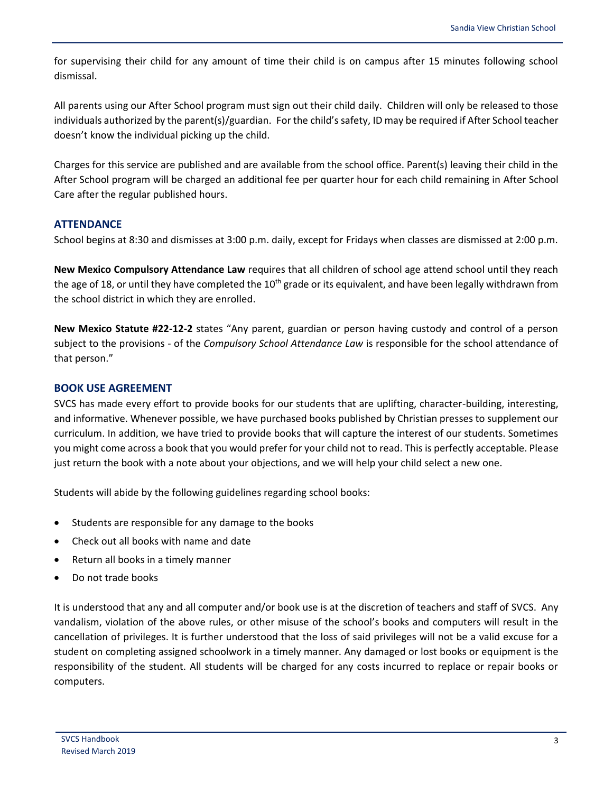for supervising their child for any amount of time their child is on campus after 15 minutes following school dismissal.

All parents using our After School program must sign out their child daily. Children will only be released to those individuals authorized by the parent(s)/guardian. For the child's safety, ID may be required if After School teacher doesn't know the individual picking up the child.

Charges for this service are published and are available from the school office. Parent(s) leaving their child in the After School program will be charged an additional fee per quarter hour for each child remaining in After School Care after the regular published hours.

# <span id="page-5-0"></span>**ATTENDANCE**

School begins at 8:30 and dismisses at 3:00 p.m. daily, except for Fridays when classes are dismissed at 2:00 p.m.

**New Mexico Compulsory Attendance Law** requires that all children of school age attend school until they reach the age of 18, or until they have completed the 10<sup>th</sup> grade or its equivalent, and have been legally withdrawn from the school district in which they are enrolled.

**New Mexico Statute #22-12-2** states "Any parent, guardian or person having custody and control of a person subject to the provisions - of the *Compulsory School Attendance Law* is responsible for the school attendance of that person."

# <span id="page-5-1"></span>**BOOK USE AGREEMENT**

SVCS has made every effort to provide books for our students that are uplifting, character-building, interesting, and informative. Whenever possible, we have purchased books published by Christian presses to supplement our curriculum. In addition, we have tried to provide books that will capture the interest of our students. Sometimes you might come across a book that you would prefer for your child not to read. This is perfectly acceptable. Please just return the book with a note about your objections, and we will help your child select a new one.

Students will abide by the following guidelines regarding school books:

- Students are responsible for any damage to the books
- Check out all books with name and date
- Return all books in a timely manner
- Do not trade books

It is understood that any and all computer and/or book use is at the discretion of teachers and staff of SVCS. Any vandalism, violation of the above rules, or other misuse of the school's books and computers will result in the cancellation of privileges. It is further understood that the loss of said privileges will not be a valid excuse for a student on completing assigned schoolwork in a timely manner. Any damaged or lost books or equipment is the responsibility of the student. All students will be charged for any costs incurred to replace or repair books or computers.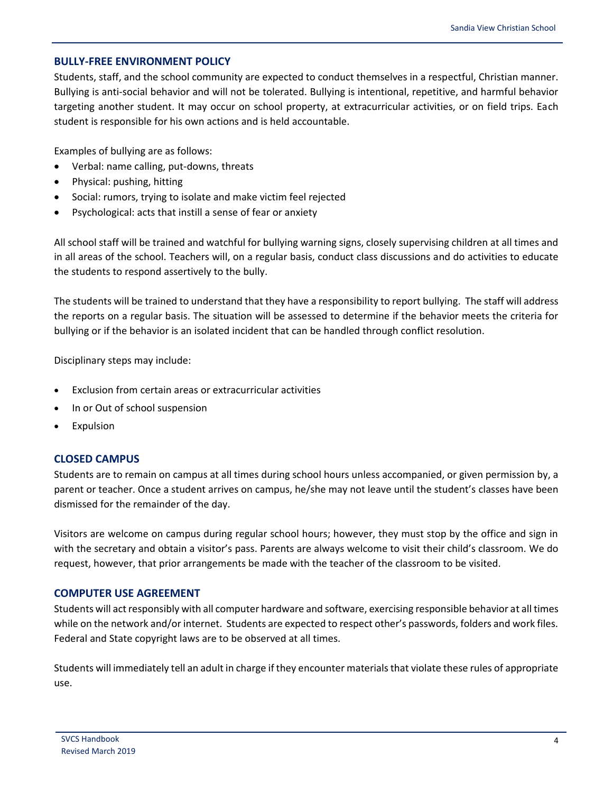# <span id="page-6-0"></span>**BULLY-FREE ENVIRONMENT POLICY**

Students, staff, and the school community are expected to conduct themselves in a respectful, Christian manner. Bullying is anti-social behavior and will not be tolerated. Bullying is intentional, repetitive, and harmful behavior targeting another student. It may occur on school property, at extracurricular activities, or on field trips. Each student is responsible for his own actions and is held accountable.

Examples of bullying are as follows:

- Verbal: name calling, put-downs, threats
- Physical: pushing, hitting
- Social: rumors, trying to isolate and make victim feel rejected
- Psychological: acts that instill a sense of fear or anxiety

All school staff will be trained and watchful for bullying warning signs, closely supervising children at all times and in all areas of the school. Teachers will, on a regular basis, conduct class discussions and do activities to educate the students to respond assertively to the bully.

The students will be trained to understand that they have a responsibility to report bullying. The staff will address the reports on a regular basis. The situation will be assessed to determine if the behavior meets the criteria for bullying or if the behavior is an isolated incident that can be handled through conflict resolution.

Disciplinary steps may include:

- Exclusion from certain areas or extracurricular activities
- In or Out of school suspension
- Expulsion

## <span id="page-6-1"></span>**CLOSED CAMPUS**

Students are to remain on campus at all times during school hours unless accompanied, or given permission by, a parent or teacher. Once a student arrives on campus, he/she may not leave until the student's classes have been dismissed for the remainder of the day.

Visitors are welcome on campus during regular school hours; however, they must stop by the office and sign in with the secretary and obtain a visitor's pass. Parents are always welcome to visit their child's classroom. We do request, however, that prior arrangements be made with the teacher of the classroom to be visited.

## <span id="page-6-2"></span>**COMPUTER USE AGREEMENT**

Students will act responsibly with all computer hardware and software, exercising responsible behavior at all times while on the network and/or internet. Students are expected to respect other's passwords, folders and work files. Federal and State copyright laws are to be observed at all times.

Students will immediately tell an adult in charge if they encounter materials that violate these rules of appropriate use.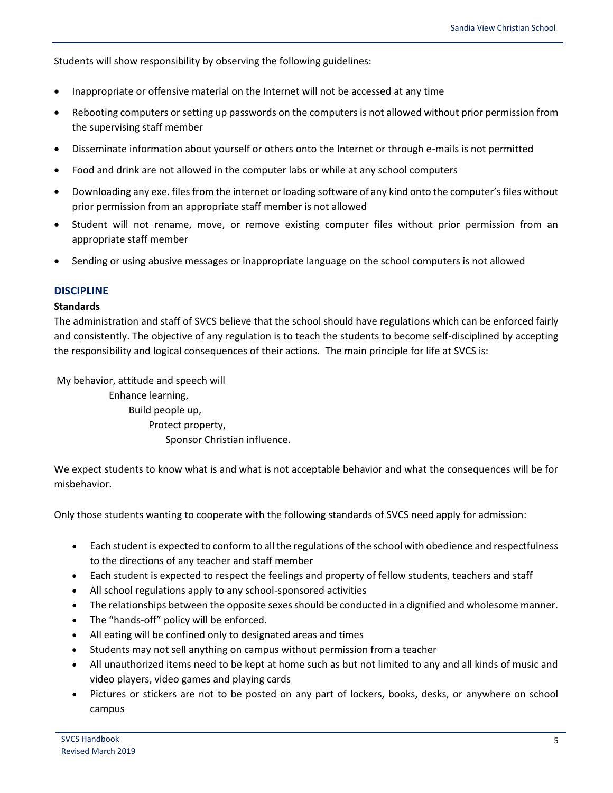Students will show responsibility by observing the following guidelines:

- Inappropriate or offensive material on the Internet will not be accessed at any time
- Rebooting computers or setting up passwords on the computers is not allowed without prior permission from the supervising staff member
- Disseminate information about yourself or others onto the Internet or through e-mails is not permitted
- Food and drink are not allowed in the computer labs or while at any school computers
- Downloading any exe. files from the internet or loading software of any kind onto the computer's files without prior permission from an appropriate staff member is not allowed
- Student will not rename, move, or remove existing computer files without prior permission from an appropriate staff member
- Sending or using abusive messages or inappropriate language on the school computers is not allowed

## <span id="page-7-0"></span>**DISCIPLINE**

#### **Standards**

The administration and staff of SVCS believe that the school should have regulations which can be enforced fairly and consistently. The objective of any regulation is to teach the students to become self-disciplined by accepting the responsibility and logical consequences of their actions. The main principle for life at SVCS is:

My behavior, attitude and speech will Enhance learning, Build people up, Protect property, Sponsor Christian influence.

We expect students to know what is and what is not acceptable behavior and what the consequences will be for misbehavior.

Only those students wanting to cooperate with the following standards of SVCS need apply for admission:

- Each student is expected to conform to all the regulations of the school with obedience and respectfulness to the directions of any teacher and staff member
- Each student is expected to respect the feelings and property of fellow students, teachers and staff
- All school regulations apply to any school-sponsored activities
- The relationships between the opposite sexes should be conducted in a dignified and wholesome manner.
- The "hands-off" policy will be enforced.
- All eating will be confined only to designated areas and times
- Students may not sell anything on campus without permission from a teacher
- All unauthorized items need to be kept at home such as but not limited to any and all kinds of music and video players, video games and playing cards
- Pictures or stickers are not to be posted on any part of lockers, books, desks, or anywhere on school campus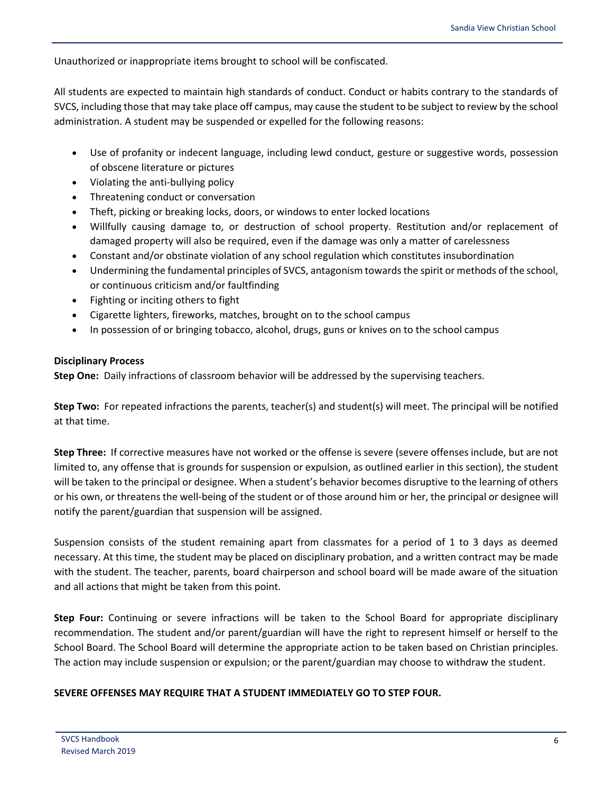Unauthorized or inappropriate items brought to school will be confiscated.

All students are expected to maintain high standards of conduct. Conduct or habits contrary to the standards of SVCS, including those that may take place off campus, may cause the student to be subject to review by the school administration. A student may be suspended or expelled for the following reasons:

- Use of profanity or indecent language, including lewd conduct, gesture or suggestive words, possession of obscene literature or pictures
- Violating the anti-bullying policy
- Threatening conduct or conversation
- Theft, picking or breaking locks, doors, or windows to enter locked locations
- Willfully causing damage to, or destruction of school property. Restitution and/or replacement of damaged property will also be required, even if the damage was only a matter of carelessness
- Constant and/or obstinate violation of any school regulation which constitutes insubordination
- Undermining the fundamental principles of SVCS, antagonism towards the spirit or methods of the school, or continuous criticism and/or faultfinding
- Fighting or inciting others to fight
- Cigarette lighters, fireworks, matches, brought on to the school campus
- In possession of or bringing tobacco, alcohol, drugs, guns or knives on to the school campus

## **Disciplinary Process**

**Step One:** Daily infractions of classroom behavior will be addressed by the supervising teachers.

**Step Two:** For repeated infractions the parents, teacher(s) and student(s) will meet. The principal will be notified at that time.

**Step Three:** If corrective measures have not worked or the offense is severe (severe offenses include, but are not limited to, any offense that is grounds for suspension or expulsion, as outlined earlier in this section), the student will be taken to the principal or designee. When a student's behavior becomes disruptive to the learning of others or his own, or threatens the well-being of the student or of those around him or her, the principal or designee will notify the parent/guardian that suspension will be assigned.

Suspension consists of the student remaining apart from classmates for a period of 1 to 3 days as deemed necessary. At this time, the student may be placed on disciplinary probation, and a written contract may be made with the student. The teacher, parents, board chairperson and school board will be made aware of the situation and all actions that might be taken from this point.

**Step Four:** Continuing or severe infractions will be taken to the School Board for appropriate disciplinary recommendation. The student and/or parent/guardian will have the right to represent himself or herself to the School Board. The School Board will determine the appropriate action to be taken based on Christian principles. The action may include suspension or expulsion; or the parent/guardian may choose to withdraw the student.

# **SEVERE OFFENSES MAY REQUIRE THAT A STUDENT IMMEDIATELY GO TO STEP FOUR.**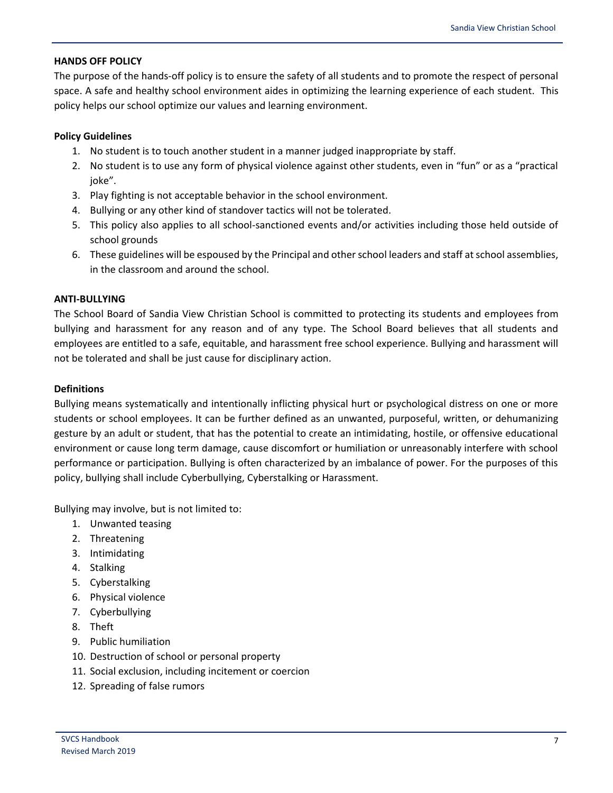## **HANDS OFF POLICY**

The purpose of the hands-off policy is to ensure the safety of all students and to promote the respect of personal space. A safe and healthy school environment aides in optimizing the learning experience of each student. This policy helps our school optimize our values and learning environment.

## **Policy Guidelines**

- 1. No student is to touch another student in a manner judged inappropriate by staff.
- 2. No student is to use any form of physical violence against other students, even in "fun" or as a "practical joke".
- 3. Play fighting is not acceptable behavior in the school environment.
- 4. Bullying or any other kind of standover tactics will not be tolerated.
- 5. This policy also applies to all school-sanctioned events and/or activities including those held outside of school grounds
- 6. These guidelines will be espoused by the Principal and other school leaders and staff at school assemblies, in the classroom and around the school.

## **ANTI-BULLYING**

The School Board of Sandia View Christian School is committed to protecting its students and employees from bullying and harassment for any reason and of any type. The School Board believes that all students and employees are entitled to a safe, equitable, and harassment free school experience. Bullying and harassment will not be tolerated and shall be just cause for disciplinary action.

## **Definitions**

Bullying means systematically and intentionally inflicting physical hurt or psychological distress on one or more students or school employees. It can be further defined as an unwanted, purposeful, written, or dehumanizing gesture by an adult or student, that has the potential to create an intimidating, hostile, or offensive educational environment or cause long term damage, cause discomfort or humiliation or unreasonably interfere with school performance or participation. Bullying is often characterized by an imbalance of power. For the purposes of this policy, bullying shall include Cyberbullying, Cyberstalking or Harassment.

Bullying may involve, but is not limited to:

- 1. Unwanted teasing
- 2. Threatening
- 3. Intimidating
- 4. Stalking
- 5. Cyberstalking
- 6. Physical violence
- 7. Cyberbullying
- 8. Theft
- 9. Public humiliation
- 10. Destruction of school or personal property
- 11. Social exclusion, including incitement or coercion
- 12. Spreading of false rumors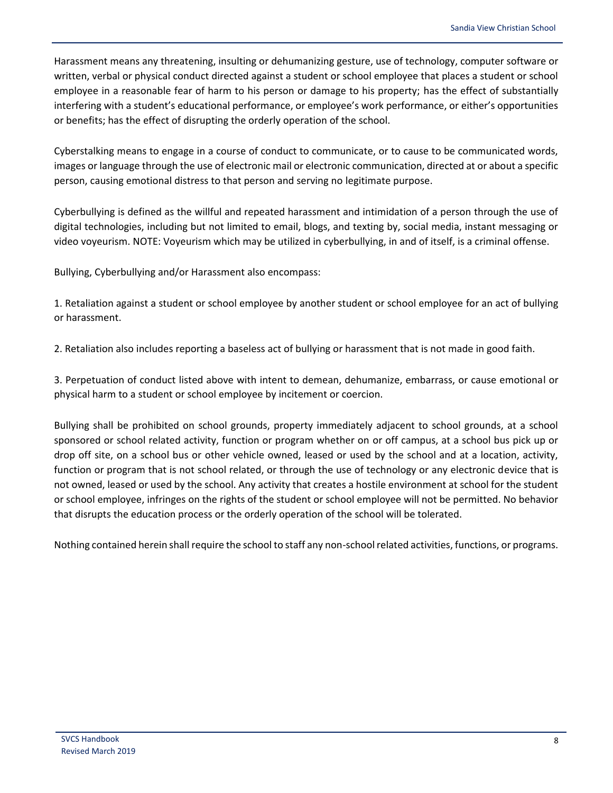Harassment means any threatening, insulting or dehumanizing gesture, use of technology, computer software or written, verbal or physical conduct directed against a student or school employee that places a student or school employee in a reasonable fear of harm to his person or damage to his property; has the effect of substantially interfering with a student's educational performance, or employee's work performance, or either's opportunities or benefits; has the effect of disrupting the orderly operation of the school.

Cyberstalking means to engage in a course of conduct to communicate, or to cause to be communicated words, images or language through the use of electronic mail or electronic communication, directed at or about a specific person, causing emotional distress to that person and serving no legitimate purpose.

Cyberbullying is defined as the willful and repeated harassment and intimidation of a person through the use of digital technologies, including but not limited to email, blogs, and texting by, social media, instant messaging or video voyeurism. NOTE: Voyeurism which may be utilized in cyberbullying, in and of itself, is a criminal offense.

Bullying, Cyberbullying and/or Harassment also encompass:

1. Retaliation against a student or school employee by another student or school employee for an act of bullying or harassment.

2. Retaliation also includes reporting a baseless act of bullying or harassment that is not made in good faith.

3. Perpetuation of conduct listed above with intent to demean, dehumanize, embarrass, or cause emotional or physical harm to a student or school employee by incitement or coercion.

Bullying shall be prohibited on school grounds, property immediately adjacent to school grounds, at a school sponsored or school related activity, function or program whether on or off campus, at a school bus pick up or drop off site, on a school bus or other vehicle owned, leased or used by the school and at a location, activity, function or program that is not school related, or through the use of technology or any electronic device that is not owned, leased or used by the school. Any activity that creates a hostile environment at school for the student or school employee, infringes on the rights of the student or school employee will not be permitted. No behavior that disrupts the education process or the orderly operation of the school will be tolerated.

Nothing contained herein shall require the school to staff any non-school related activities, functions, or programs.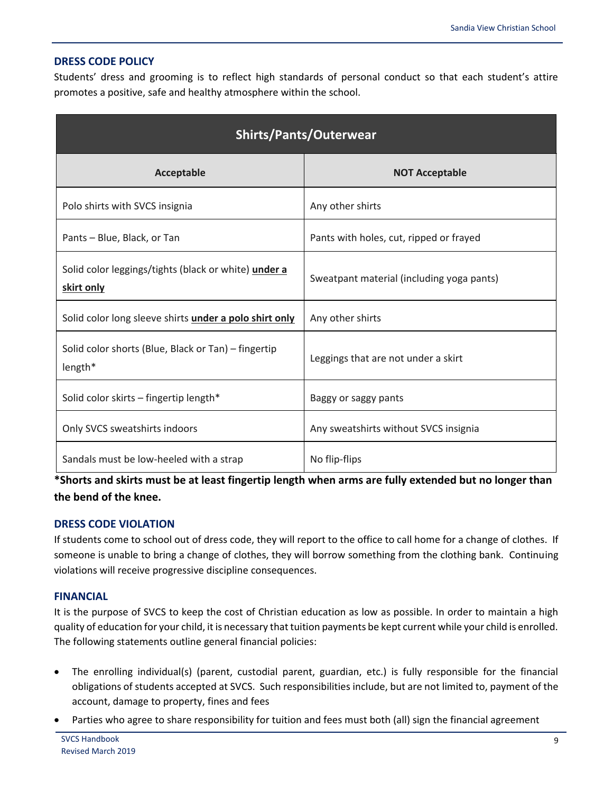# <span id="page-11-0"></span>**DRESS CODE POLICY**

Students' dress and grooming is to reflect high standards of personal conduct so that each student's attire promotes a positive, safe and healthy atmosphere within the school.

| <b>Shirts/Pants/Outerwear</b>                                      |                                           |  |
|--------------------------------------------------------------------|-------------------------------------------|--|
| <b>Acceptable</b>                                                  | <b>NOT Acceptable</b>                     |  |
| Polo shirts with SVCS insignia                                     | Any other shirts                          |  |
| Pants - Blue, Black, or Tan                                        | Pants with holes, cut, ripped or frayed   |  |
| Solid color leggings/tights (black or white) under a<br>skirt only | Sweatpant material (including yoga pants) |  |
| Solid color long sleeve shirts under a polo shirt only             | Any other shirts                          |  |
| Solid color shorts (Blue, Black or Tan) - fingertip<br>length*     | Leggings that are not under a skirt       |  |
| Solid color skirts - fingertip length*                             | Baggy or saggy pants                      |  |
| Only SVCS sweatshirts indoors                                      | Any sweatshirts without SVCS insignia     |  |
| Sandals must be low-heeled with a strap                            | No flip-flips                             |  |

**\*Shorts and skirts must be at least fingertip length when arms are fully extended but no longer than the bend of the knee.**

# <span id="page-11-1"></span>**DRESS CODE VIOLATION**

If students come to school out of dress code, they will report to the office to call home for a change of clothes. If someone is unable to bring a change of clothes, they will borrow something from the clothing bank. Continuing violations will receive progressive discipline consequences.

# <span id="page-11-2"></span>**FINANCIAL**

It is the purpose of SVCS to keep the cost of Christian education as low as possible. In order to maintain a high quality of education for your child, it is necessary that tuition payments be kept current while your child is enrolled. The following statements outline general financial policies:

- The enrolling individual(s) (parent, custodial parent, guardian, etc.) is fully responsible for the financial obligations of students accepted at SVCS. Such responsibilities include, but are not limited to, payment of the account, damage to property, fines and fees
- Parties who agree to share responsibility for tuition and fees must both (all) sign the financial agreement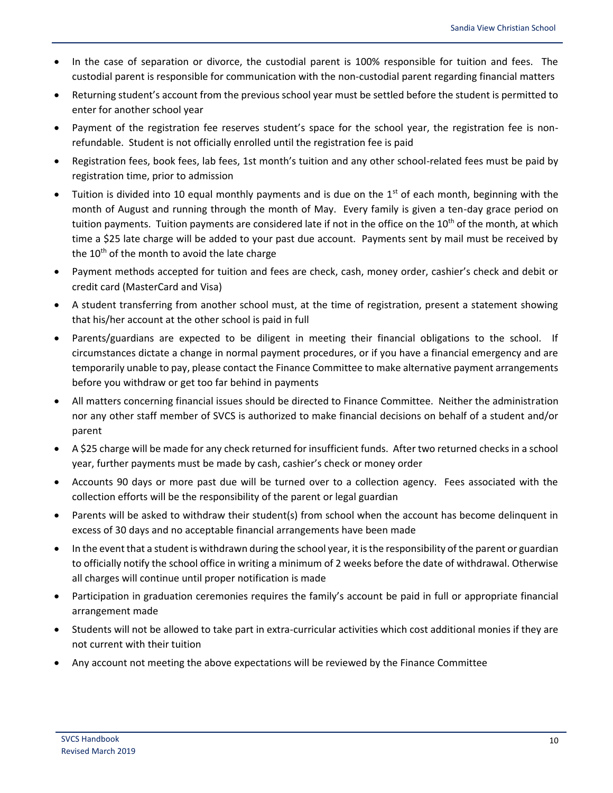- In the case of separation or divorce, the custodial parent is 100% responsible for tuition and fees. The custodial parent is responsible for communication with the non-custodial parent regarding financial matters
- Returning student's account from the previous school year must be settled before the student is permitted to enter for another school year
- Payment of the registration fee reserves student's space for the school year, the registration fee is nonrefundable. Student is not officially enrolled until the registration fee is paid
- Registration fees, book fees, lab fees, 1st month's tuition and any other school-related fees must be paid by registration time, prior to admission
- Tuition is divided into 10 equal monthly payments and is due on the  $1<sup>st</sup>$  of each month, beginning with the month of August and running through the month of May. Every family is given a ten-day grace period on tuition payments. Tuition payments are considered late if not in the office on the 10<sup>th</sup> of the month, at which time a \$25 late charge will be added to your past due account. Payments sent by mail must be received by the  $10<sup>th</sup>$  of the month to avoid the late charge
- Payment methods accepted for tuition and fees are check, cash, money order, cashier's check and debit or credit card (MasterCard and Visa)
- A student transferring from another school must, at the time of registration, present a statement showing that his/her account at the other school is paid in full
- Parents/guardians are expected to be diligent in meeting their financial obligations to the school. If circumstances dictate a change in normal payment procedures, or if you have a financial emergency and are temporarily unable to pay, please contact the Finance Committee to make alternative payment arrangements before you withdraw or get too far behind in payments
- All matters concerning financial issues should be directed to Finance Committee. Neither the administration nor any other staff member of SVCS is authorized to make financial decisions on behalf of a student and/or parent
- A \$25 charge will be made for any check returned for insufficient funds. After two returned checks in a school year, further payments must be made by cash, cashier's check or money order
- Accounts 90 days or more past due will be turned over to a collection agency. Fees associated with the collection efforts will be the responsibility of the parent or legal guardian
- Parents will be asked to withdraw their student(s) from school when the account has become delinquent in excess of 30 days and no acceptable financial arrangements have been made
- In the event that a student is withdrawn during the school year, it is the responsibility of the parent or guardian to officially notify the school office in writing a minimum of 2 weeks before the date of withdrawal. Otherwise all charges will continue until proper notification is made
- Participation in graduation ceremonies requires the family's account be paid in full or appropriate financial arrangement made
- Students will not be allowed to take part in extra-curricular activities which cost additional monies if they are not current with their tuition
- Any account not meeting the above expectations will be reviewed by the Finance Committee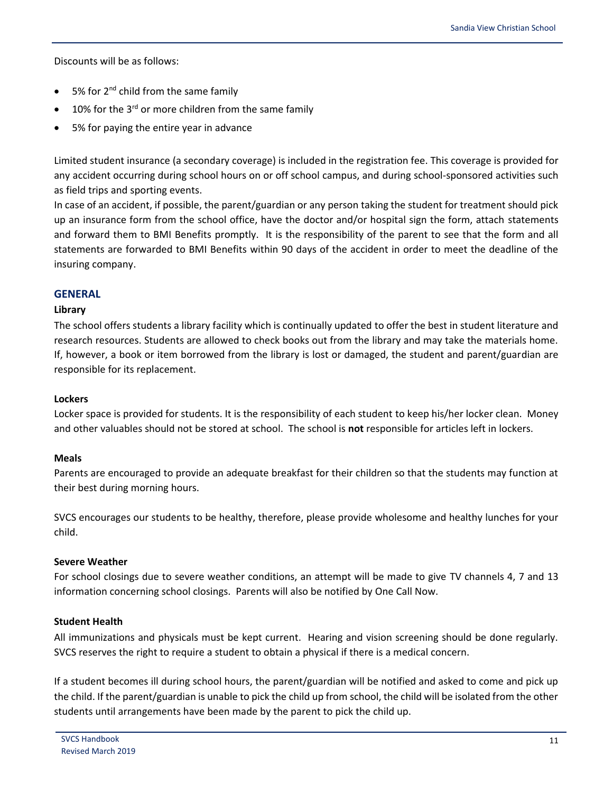Discounts will be as follows:

- 5% for 2<sup>nd</sup> child from the same family
- 10% for the  $3^{rd}$  or more children from the same family
- 5% for paying the entire year in advance

Limited student insurance (a secondary coverage) is included in the registration fee. This coverage is provided for any accident occurring during school hours on or off school campus, and during school-sponsored activities such as field trips and sporting events.

In case of an accident, if possible, the parent/guardian or any person taking the student for treatment should pick up an insurance form from the school office, have the doctor and/or hospital sign the form, attach statements and forward them to BMI Benefits promptly. It is the responsibility of the parent to see that the form and all statements are forwarded to BMI Benefits within 90 days of the accident in order to meet the deadline of the insuring company.

## <span id="page-13-0"></span>**GENERAL**

## <span id="page-13-1"></span>**Library**

The school offers students a library facility which is continually updated to offer the best in student literature and research resources. Students are allowed to check books out from the library and may take the materials home. If, however, a book or item borrowed from the library is lost or damaged, the student and parent/guardian are responsible for its replacement.

## <span id="page-13-2"></span>**Lockers**

Locker space is provided for students. It is the responsibility of each student to keep his/her locker clean. Money and other valuables should not be stored at school. The school is **not** responsible for articles left in lockers.

## <span id="page-13-3"></span>**Meals**

Parents are encouraged to provide an adequate breakfast for their children so that the students may function at their best during morning hours.

SVCS encourages our students to be healthy, therefore, please provide wholesome and healthy lunches for your child.

## <span id="page-13-4"></span>**Severe Weather**

For school closings due to severe weather conditions, an attempt will be made to give TV channels 4, 7 and 13 information concerning school closings. Parents will also be notified by One Call Now.

## <span id="page-13-5"></span>**Student Health**

All immunizations and physicals must be kept current. Hearing and vision screening should be done regularly. SVCS reserves the right to require a student to obtain a physical if there is a medical concern.

If a student becomes ill during school hours, the parent/guardian will be notified and asked to come and pick up the child. If the parent/guardian is unable to pick the child up from school, the child will be isolated from the other students until arrangements have been made by the parent to pick the child up.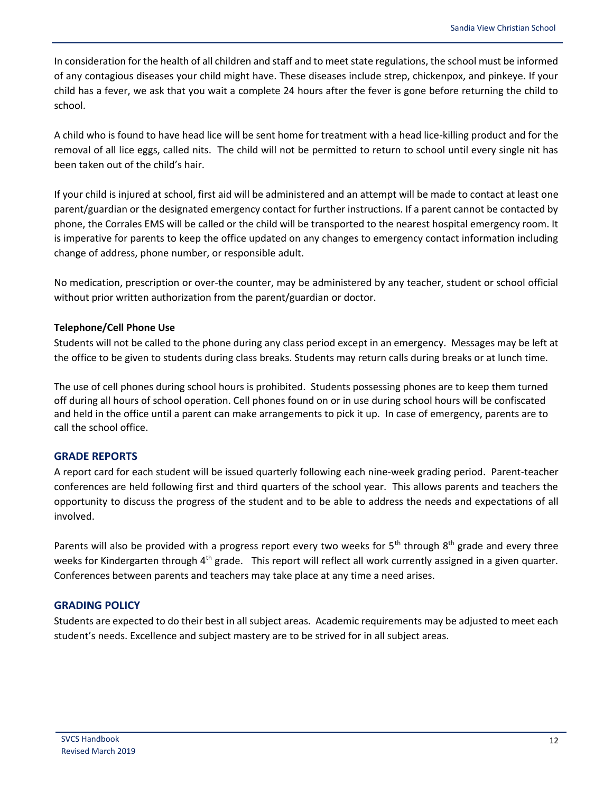In consideration for the health of all children and staff and to meet state regulations, the school must be informed of any contagious diseases your child might have. These diseases include strep, chickenpox, and pinkeye. If your child has a fever, we ask that you wait a complete 24 hours after the fever is gone before returning the child to school.

A child who is found to have head lice will be sent home for treatment with a head lice-killing product and for the removal of all lice eggs, called nits. The child will not be permitted to return to school until every single nit has been taken out of the child's hair.

If your child is injured at school, first aid will be administered and an attempt will be made to contact at least one parent/guardian or the designated emergency contact for further instructions. If a parent cannot be contacted by phone, the Corrales EMS will be called or the child will be transported to the nearest hospital emergency room. It is imperative for parents to keep the office updated on any changes to emergency contact information including change of address, phone number, or responsible adult.

No medication, prescription or over-the counter, may be administered by any teacher, student or school official without prior written authorization from the parent/guardian or doctor.

## <span id="page-14-0"></span>**Telephone/Cell Phone Use**

Students will not be called to the phone during any class period except in an emergency. Messages may be left at the office to be given to students during class breaks. Students may return calls during breaks or at lunch time.

The use of cell phones during school hours is prohibited. Students possessing phones are to keep them turned off during all hours of school operation. Cell phones found on or in use during school hours will be confiscated and held in the office until a parent can make arrangements to pick it up. In case of emergency, parents are to call the school office.

# <span id="page-14-1"></span>**GRADE REPORTS**

A report card for each student will be issued quarterly following each nine-week grading period. Parent-teacher conferences are held following first and third quarters of the school year. This allows parents and teachers the opportunity to discuss the progress of the student and to be able to address the needs and expectations of all involved.

Parents will also be provided with a progress report every two weeks for 5<sup>th</sup> through 8<sup>th</sup> grade and every three weeks for Kindergarten through 4<sup>th</sup> grade. This report will reflect all work currently assigned in a given quarter. Conferences between parents and teachers may take place at any time a need arises.

# <span id="page-14-2"></span>**GRADING POLICY**

Students are expected to do their best in all subject areas. Academic requirements may be adjusted to meet each student's needs. Excellence and subject mastery are to be strived for in all subject areas.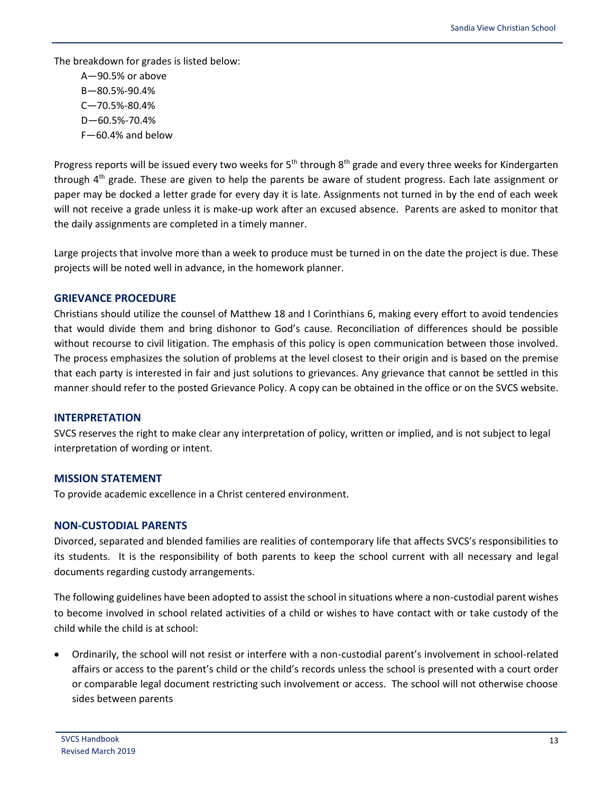The breakdown for grades is listed below:

A—90.5% or above B—80.5%-90.4% C—70.5%-80.4% D—60.5%-70.4% F—60.4% and below

Progress reports will be issued every two weeks for 5<sup>th</sup> through 8<sup>th</sup> grade and every three weeks for Kindergarten through 4<sup>th</sup> grade. These are given to help the parents be aware of student progress. Each late assignment or paper may be docked a letter grade for every day it is late. Assignments not turned in by the end of each week will not receive a grade unless it is make-up work after an excused absence. Parents are asked to monitor that the daily assignments are completed in a timely manner.

Large projects that involve more than a week to produce must be turned in on the date the project is due. These projects will be noted well in advance, in the homework planner.

# <span id="page-15-0"></span>**GRIEVANCE PROCEDURE**

Christians should utilize the counsel of Matthew 18 and I Corinthians 6, making every effort to avoid tendencies that would divide them and bring dishonor to God's cause. Reconciliation of differences should be possible without recourse to civil litigation. The emphasis of this policy is open communication between those involved. The process emphasizes the solution of problems at the level closest to their origin and is based on the premise that each party is interested in fair and just solutions to grievances. Any grievance that cannot be settled in this manner should refer to the posted Grievance Policy. A copy can be obtained in the office or on the SVCS website.

## <span id="page-15-1"></span>**INTERPRETATION**

SVCS reserves the right to make clear any interpretation of policy, written or implied, and is not subject to legal interpretation of wording or intent.

# <span id="page-15-2"></span>**MISSION STATEMENT**

To provide academic excellence in a Christ centered environment.

# <span id="page-15-3"></span>**NON-CUSTODIAL PARENTS**

Divorced, separated and blended families are realities of contemporary life that affects SVCS's responsibilities to its students. It is the responsibility of both parents to keep the school current with all necessary and legal documents regarding custody arrangements.

The following guidelines have been adopted to assist the school in situations where a non-custodial parent wishes to become involved in school related activities of a child or wishes to have contact with or take custody of the child while the child is at school:

 Ordinarily, the school will not resist or interfere with a non-custodial parent's involvement in school-related affairs or access to the parent's child or the child's records unless the school is presented with a court order or comparable legal document restricting such involvement or access. The school will not otherwise choose sides between parents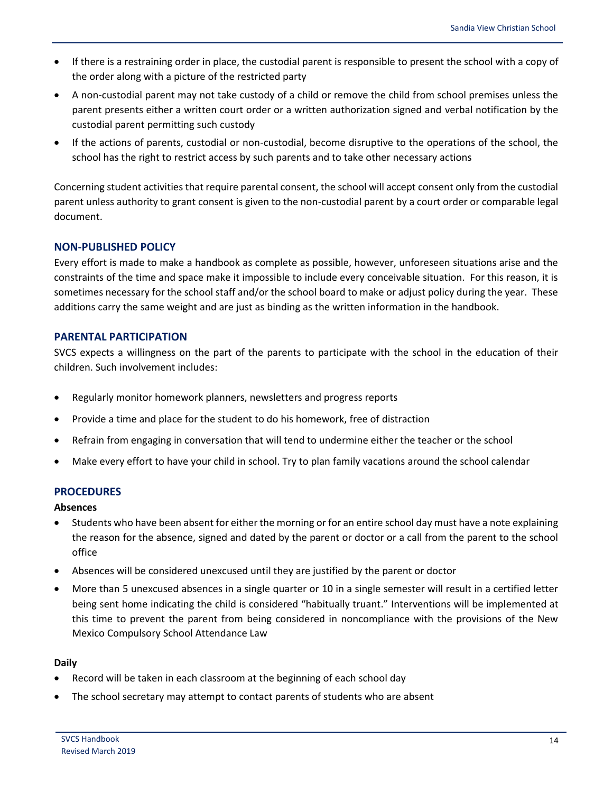- If there is a restraining order in place, the custodial parent is responsible to present the school with a copy of the order along with a picture of the restricted party
- A non-custodial parent may not take custody of a child or remove the child from school premises unless the parent presents either a written court order or a written authorization signed and verbal notification by the custodial parent permitting such custody
- If the actions of parents, custodial or non-custodial, become disruptive to the operations of the school, the school has the right to restrict access by such parents and to take other necessary actions

Concerning student activities that require parental consent, the school will accept consent only from the custodial parent unless authority to grant consent is given to the non-custodial parent by a court order or comparable legal document.

## <span id="page-16-0"></span>**NON-PUBLISHED POLICY**

Every effort is made to make a handbook as complete as possible, however, unforeseen situations arise and the constraints of the time and space make it impossible to include every conceivable situation. For this reason, it is sometimes necessary for the school staff and/or the school board to make or adjust policy during the year. These additions carry the same weight and are just as binding as the written information in the handbook.

## <span id="page-16-1"></span>**PARENTAL PARTICIPATION**

SVCS expects a willingness on the part of the parents to participate with the school in the education of their children. Such involvement includes:

- Regularly monitor homework planners, newsletters and progress reports
- Provide a time and place for the student to do his homework, free of distraction
- Refrain from engaging in conversation that will tend to undermine either the teacher or the school
- Make every effort to have your child in school. Try to plan family vacations around the school calendar

## <span id="page-16-2"></span>**PROCEDURES**

<span id="page-16-3"></span>**Absences**

- Students who have been absent for either the morning or for an entire school day must have a note explaining the reason for the absence, signed and dated by the parent or doctor or a call from the parent to the school office
- Absences will be considered unexcused until they are justified by the parent or doctor
- More than 5 unexcused absences in a single quarter or 10 in a single semester will result in a certified letter being sent home indicating the child is considered "habitually truant." Interventions will be implemented at this time to prevent the parent from being considered in noncompliance with the provisions of the New Mexico Compulsory School Attendance Law

## <span id="page-16-4"></span>**Daily**

- Record will be taken in each classroom at the beginning of each school day
- The school secretary may attempt to contact parents of students who are absent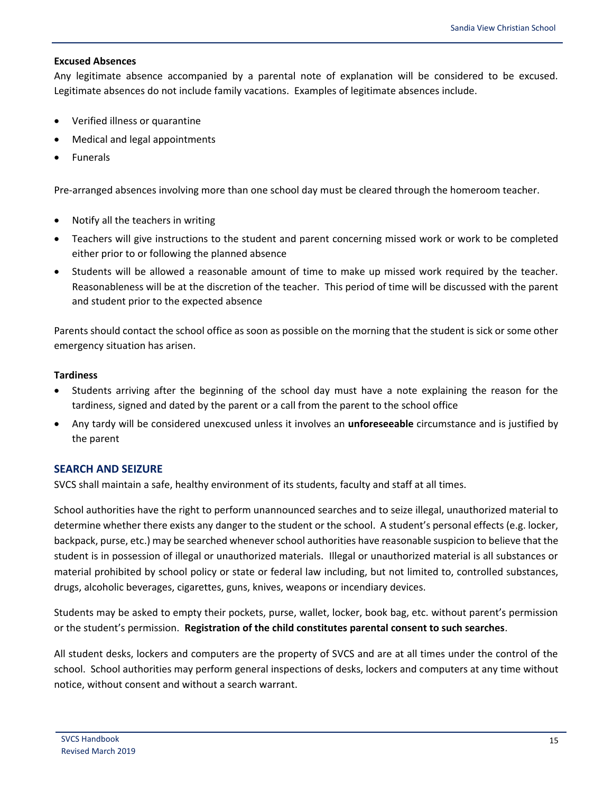#### <span id="page-17-0"></span>**Excused Absences**

Any legitimate absence accompanied by a parental note of explanation will be considered to be excused. Legitimate absences do not include family vacations. Examples of legitimate absences include.

- Verified illness or quarantine
- Medical and legal appointments
- Funerals

Pre-arranged absences involving more than one school day must be cleared through the homeroom teacher.

- Notify all the teachers in writing
- Teachers will give instructions to the student and parent concerning missed work or work to be completed either prior to or following the planned absence
- Students will be allowed a reasonable amount of time to make up missed work required by the teacher. Reasonableness will be at the discretion of the teacher. This period of time will be discussed with the parent and student prior to the expected absence

Parents should contact the school office as soon as possible on the morning that the student is sick or some other emergency situation has arisen.

#### <span id="page-17-1"></span>**Tardiness**

- Students arriving after the beginning of the school day must have a note explaining the reason for the tardiness, signed and dated by the parent or a call from the parent to the school office
- Any tardy will be considered unexcused unless it involves an **unforeseeable** circumstance and is justified by the parent

## <span id="page-17-2"></span>**SEARCH AND SEIZURE**

SVCS shall maintain a safe, healthy environment of its students, faculty and staff at all times.

School authorities have the right to perform unannounced searches and to seize illegal, unauthorized material to determine whether there exists any danger to the student or the school. A student's personal effects (e.g. locker, backpack, purse, etc.) may be searched whenever school authorities have reasonable suspicion to believe that the student is in possession of illegal or unauthorized materials. Illegal or unauthorized material is all substances or material prohibited by school policy or state or federal law including, but not limited to, controlled substances, drugs, alcoholic beverages, cigarettes, guns, knives, weapons or incendiary devices.

Students may be asked to empty their pockets, purse, wallet, locker, book bag, etc. without parent's permission or the student's permission. **Registration of the child constitutes parental consent to such searches**.

All student desks, lockers and computers are the property of SVCS and are at all times under the control of the school. School authorities may perform general inspections of desks, lockers and computers at any time without notice, without consent and without a search warrant.